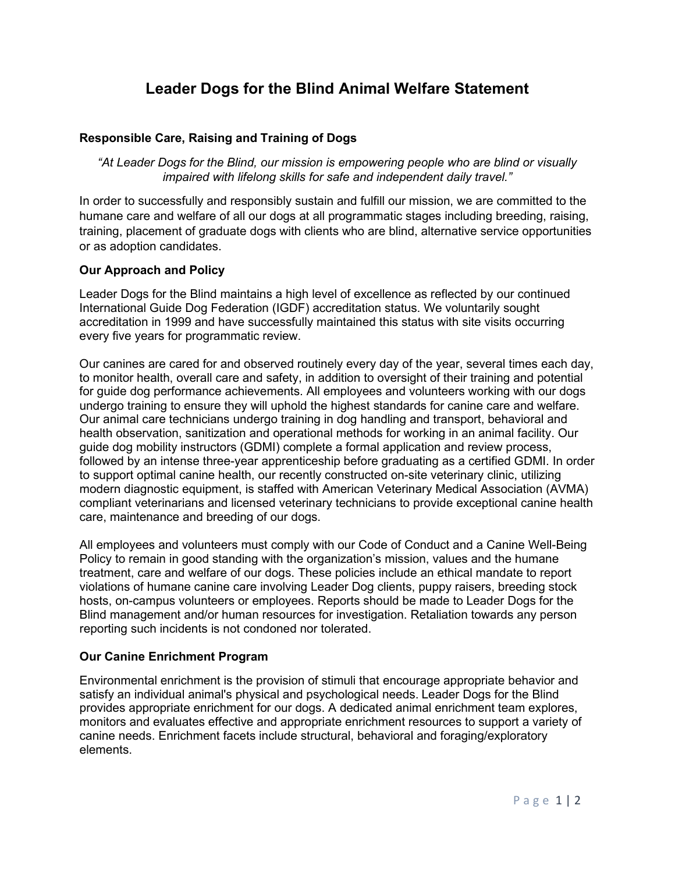## **Leader Dogs for the Blind Animal Welfare Statement**

## **Responsible Care, Raising and Training of Dogs**

*"At Leader Dogs for the Blind, our mission is empowering people who are blind or visually impaired with lifelong skills for safe and independent daily travel."*

In order to successfully and responsibly sustain and fulfill our mission, we are committed to the humane care and welfare of all our dogs at all programmatic stages including breeding, raising, training, placement of graduate dogs with clients who are blind, alternative service opportunities or as adoption candidates.

## **Our Approach and Policy**

Leader Dogs for the Blind maintains a high level of excellence as reflected by our continued International Guide Dog Federation (IGDF) accreditation status. We voluntarily sought accreditation in 1999 and have successfully maintained this status with site visits occurring every five years for programmatic review.

Our canines are cared for and observed routinely every day of the year, several times each day, to monitor health, overall care and safety, in addition to oversight of their training and potential for guide dog performance achievements. All employees and volunteers working with our dogs undergo training to ensure they will uphold the highest standards for canine care and welfare. Our animal care technicians undergo training in dog handling and transport, behavioral and health observation, sanitization and operational methods for working in an animal facility. Our guide dog mobility instructors (GDMI) complete a formal application and review process, followed by an intense three-year apprenticeship before graduating as a certified GDMI. In order to support optimal canine health, our recently constructed on-site veterinary clinic, utilizing modern diagnostic equipment, is staffed with American Veterinary Medical Association (AVMA) compliant veterinarians and licensed veterinary technicians to provide exceptional canine health care, maintenance and breeding of our dogs.

All employees and volunteers must comply with our Code of Conduct and a Canine Well-Being Policy to remain in good standing with the organization's mission, values and the humane treatment, care and welfare of our dogs. These policies include an ethical mandate to report violations of humane canine care involving Leader Dog clients, puppy raisers, breeding stock hosts, on-campus volunteers or employees. Reports should be made to Leader Dogs for the Blind management and/or human resources for investigation. Retaliation towards any person reporting such incidents is not condoned nor tolerated.

## **Our Canine Enrichment Program**

Environmental enrichment is the provision of stimuli that encourage appropriate behavior and satisfy an individual animal's physical and psychological needs. Leader Dogs for the Blind provides appropriate enrichment for our dogs. A dedicated animal enrichment team explores, monitors and evaluates effective and appropriate enrichment resources to support a variety of canine needs. Enrichment facets include structural, behavioral and foraging/exploratory elements.